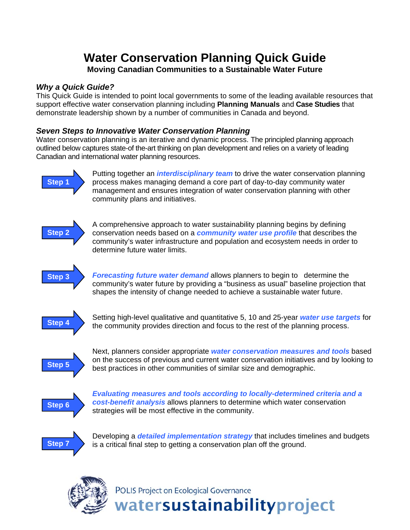# **Water Conservation Planning Quick Guide Moving Canadian Communities to a Sustainable Water Future**

## *Why a Quick Guide?*

This Quick Guide is intended to point local governments to some of the leading available resources that support effective water conservation planning including **Planning Manuals** and **Case Studies** that demonstrate leadership shown by a number of communities in Canada and beyond.

## *Seven Steps to Innovative Water Conservation Planning*

Water conservation planning is an iterative and dynamic process. The principled planning approach outlined below captures state-of the-art thinking on plan development and relies on a variety of leading Canadian and international water planning resources.



Putting together an *interdisciplinary team* to drive the water conservation planning process makes managing demand a core part of day-to-day community water management and ensures integration of water conservation planning with other community plans and initiatives.



A comprehensive approach to water sustainability planning begins by defining conservation needs based on a *community water use profile* that describes the community's water infrastructure and population and ecosystem needs in order to determine future water limits.



*Forecasting future water demand* allows planners to begin to determine the community's water future by providing a "business as usual" baseline projection that shapes the intensity of change needed to achieve a sustainable water future.



Setting high-level qualitative and quantitative 5, 10 and 25-year *water use targets* for Step 4 **by community provides direction and focus to the rest of the planning process.** 



Next, planners consider appropriate *water conservation measures and tools* based on the success of previous and current water conservation initiatives and by looking to **Step 5** best practices in other communities of similar size and demographic.



*Evaluating measures and tools according to locally-determined criteria and a cost-benefit analysis* allows planners to determine which water conservation Step 6 *COST-Denent analysis* allows plainlets to determined the strategies will be most effective in the community.



Developing a *detailed implementation strategy* that includes timelines and budgets **Step 7** is a critical final step to getting a conservation plan off the ground.



POLIS Project on Ecological Governance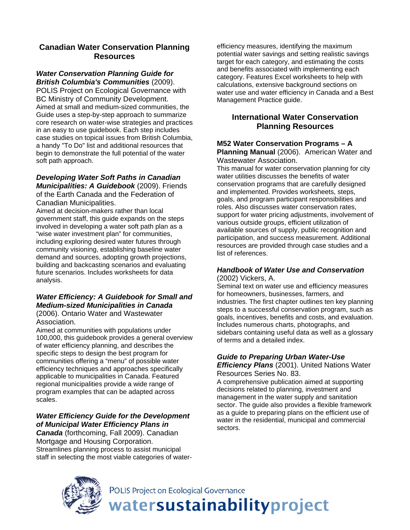## **Canadian Water Conservation Planning Resources**

#### *[Water Conservation Planning Guide for](http://www.poliswaterproject.org/publication/243)  [British Columbia's Communities](http://www.poliswaterproject.org/publication/243)* (2009).

POLIS Project on Ecological Governance with BC Ministry of Community Development. Aimed at small and medium-sized communities, the Guide uses a step-by-step approach to summarize core research on water-wise strategies and practices in an easy to use guidebook. Each step includes case studies on topical issues from British Columbia, a handy "To Do" list and additional resources that begin to demonstrate the full potential of the water soft path approach.

## *Developing Water Soft Paths in Canadian*

*Municipalities: A Guidebook* (2009). Friends of the Earth Canada and the Federation of Canadian Municipalities.

Aimed at decision-makers rather than local government staff, this guide expands on the steps involved in developing a water soft path plan as a "wise water investment plan" for communities, including exploring desired water futures through community visioning, establishing baseline water demand and sources, adopting growth projections, building and backcasting scenarios and evaluating future scenarios. Includes worksheets for data analysis.

## *[Water Efficiency: A Guidebook for Small and](http://www.owwa.com/hm/inside.php?sid=35&id=765)  [Medium-sized Municipalities in Canada](http://www.owwa.com/hm/inside.php?sid=35&id=765)*

(2006). Ontario Water and Wastewater Association.

Aimed at communities with populations under 100,000, this guidebook provides a general overview of water efficiency planning, and describes the specific steps to design the best program for communities offering a "menu" of possible water efficiency techniques and approaches specifically applicable to municipalities in Canada. Featured regional municipalities provide a wide range of program examples that can be adapted across scales.

## *Water Efficiency Guide for the Development of Municipal Water Efficiency Plans in*

*Canada* (forthcoming, Fall 2009). Canadian Mortgage and Housing Corporation. Streamlines planning process to assist municipal staff in selecting the most viable categories of water-

efficiency measures, identifying the maximum potential water savings and setting realistic savings target for each category, and estimating the costs and benefits associated with implementing each category. Features Excel worksheets to help with calculations, extensive background sections on water use and water efficiency in Canada and a Best Management Practice guide.

## **International Water Conservation Planning Resources**

#### **[M52 Water Conservation Programs – A](http://apps.awwa.org/ebusmain/OnlineStore/ProductListing.aspx?category=CONSERV)  [Planning Manual](http://apps.awwa.org/ebusmain/OnlineStore/ProductListing.aspx?category=CONSERV)** (2006). American Water and Wastewater Association.

This manual for water conservation planning for city water utilities discusses the benefits of water conservation programs that are carefully designed and implemented. Provides worksheets, steps, goals, and program participant responsibilities and roles. Also discusses water conservation rates, support for water pricing adjustments, involvement of various outside groups, efficient utilization of available sources of supply, public recognition and participation, and success measurement. Additional resources are provided through case studies and a list of references.

# *Handbook of Water Use and Conservation*

(2002) Vickers, A.

Seminal text on water use and efficiency measures for homeowners, businesses, farmers, and industries. The first chapter outlines ten key planning steps to a successful conservation program, such as goals, incentives, benefits and costs, and evaluation. Includes numerous charts, photographs, and sidebars containing useful data as well as a glossary of terms and a detailed index.

# *[Guide to Preparing Urban Water-Use](http://books.google.ca/books?id=sLfVl8KsWCoC&dq=Guide+to+Preparing+Urban+Water-Use+Efficiency+Plans&printsec=frontcover&source=bl&ots=ias3a4QYy4&sig=YouKrd5fdKb3vF87FXL8knzHuKU&hl=en&ei=UxsfSvHhNqGwtgOSoZCMCg&sa=X&oi=book_result&ct=result&resnum=1)*

*[Efficiency Plans](http://books.google.ca/books?id=sLfVl8KsWCoC&dq=Guide+to+Preparing+Urban+Water-Use+Efficiency+Plans&printsec=frontcover&source=bl&ots=ias3a4QYy4&sig=YouKrd5fdKb3vF87FXL8knzHuKU&hl=en&ei=UxsfSvHhNqGwtgOSoZCMCg&sa=X&oi=book_result&ct=result&resnum=1)* (2001). United Nations Water Resources Series No. 83.

A comprehensive publication aimed at supporting decisions related to planning, investment and management in the water supply and sanitation sector. The guide also provides a flexible framework as a guide to preparing plans on the efficient use of water in the residential, municipal and commercial sectors.



POLIS Project on Ecological Governance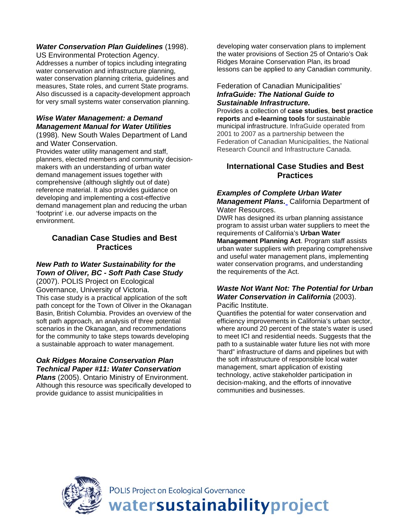## *[Water Conservation Plan Guidelines](http://www.epa.gov/WaterSense/pubs/guide.htm)* (1998).

US Environmental Protection Agency. Addresses a number of topics including integrating water conservation and infrastructure planning, water conservation planning criteria, guidelines and measures, State roles, and current State programs. Also discussed is a capacity-development approach for very small systems water conservation planning.

## *[Wise Water Management: a Demand](http://www.fwr.org/wsaa/wsaa86.htm)  [Management Manual for Water Utilities](http://www.fwr.org/wsaa/wsaa86.htm)*

(1998)*.* New South Wales Department of Land and Water Conservation.

Provides water utility management and staff, planners, elected members and community decisionmakers with an understanding of urban water demand management issues together with comprehensive (although slightly out of date) reference material. It also provides guidance on developing and implementing a cost-effective demand management plan and reducing the urban 'footprint' i.e. our adverse impacts on the environment.

## **Canadian Case Studies and Best Practices**

#### *[New Path to Water Sustainability for the](http://www.poliswaterproject.org/publication/20)  [Town of Oliver, BC - Soft Path Case Study](http://www.poliswaterproject.org/publication/20)*

(2007). POLIS Project on Ecological Governance, University of Victoria. This case study is a practical application of the soft path concept for the Town of Oliver in the Okanagan Basin, British Columbia. Provides an overview of the soft path approach, an analysis of three potential scenarios in the Okanagan, and recommendations for the community to take steps towards developing a sustainable approach to water management.

## *[Oak Ridges Moraine Conservation Plan](http://www.mah.gov.on.ca/Page1714.aspx)  [Technical Paper #11: Water Conservation](http://www.mah.gov.on.ca/Page1714.aspx)*

*[Plans](http://www.mah.gov.on.ca/Page1714.aspx)* (2005). Ontario Ministry of Environment. Although this resource was specifically developed to provide guidance to assist municipalities in

developing water conservation plans to implement the water provisions of Section 25 of Ontario's Oak Ridges Moraine Conservation Plan, its broad lessons can be applied to any Canadian community.

#### Federation of Canadian Municipalities' *[InfraGuide: The National Guide to](http://sustainablecommunities.fcm.ca/infraguide/)  [Sustainable Infrastructure.](http://sustainablecommunities.fcm.ca/infraguide/)*

Provides a collection of **case studies**, **best practice reports** and **e-learning tools** for sustainable municipal infrastructure. InfraGuide operated from 2001 to 2007 as a partnership between the Federation of Canadian Municipalities, the National Research Council and Infrastructure Canada.

## **International Case Studies and Best Practices**

## *[Examples of Complete Urban Water](http://www.owue.water.ca.gov/urbanplan/uwmp/uwmp.cfm)*

*[Management Plans.](http://www.owue.water.ca.gov/urbanplan/uwmp/uwmp.cfm)* California Department of Water Resources.

DWR has designed its urban planning assistance program to assist urban water suppliers to meet the requirements of California's **[Urban Water](http://www.owue.water.ca.gov/docs/UWMPAct.pdf)  [Management Planning Act](http://www.owue.water.ca.gov/docs/UWMPAct.pdf)**. Program staff assists urban water suppliers with preparing comprehensive and useful water management plans, implementing water conservation programs, and understanding the requirements of the Act.

#### *[Waste Not Want Not: The Potential for Urban](http://www.pacinst.org/reports/urban_usage/waste_not_want_not_full_report.pdf)  [Water Conservation in California](http://www.pacinst.org/reports/urban_usage/waste_not_want_not_full_report.pdf)* (2003). Pacific Institute.

Quantifies the potential for water conservation and efficiency improvements in California's urban sector, where around 20 percent of the state's water is used to meet ICI and residential needs. Suggests that the path to a sustainable water future lies not with more "hard" infrastructure of dams and pipelines but with the soft infrastructure of responsible local water management, smart application of existing technology, active stakeholder participation in decision-making, and the efforts of innovative communities and businesses.



POLIS Project on Ecological Governance